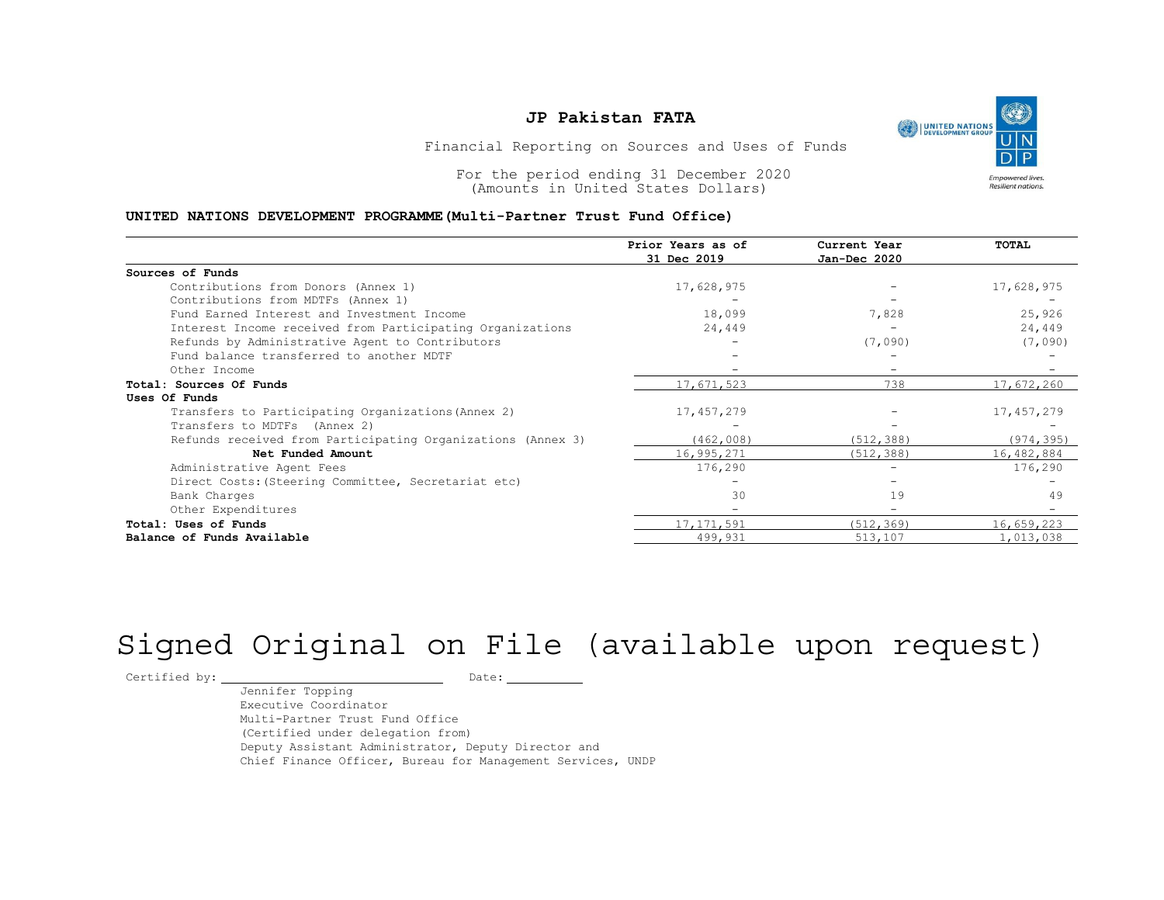### JP Pakistan FATA

### UNITED NATIONS DEVELOPMENT PROGRAMME(Multi-Partner Trust Fund Office)

| <b>UNITED NATIONS</b><br>DEVELOPMENT GROUP<br>Financial Reporting on Sources and Uses of Funds<br>For the period ending 31 December 2020 |
|------------------------------------------------------------------------------------------------------------------------------------------|
|                                                                                                                                          |
| Empowered lives.<br>Resilient nations.<br>(Amounts in United States Dollars)                                                             |
| UNITED NATIONS DEVELOPMENT PROGRAMME (Multi-Partner Trust Fund Office)                                                                   |
| Prior Years as of<br>Current Year<br>TOTAL<br>31 Dec 2019<br>Jan-Dec 2020                                                                |
| Sources of Funds                                                                                                                         |
| 17,628,975<br>Contributions from Donors (Annex 1)<br>17,628,975                                                                          |
| Contributions from MDTFs (Annex 1)                                                                                                       |
| 18,099<br>7,828<br>25,926<br>Fund Earned Interest and Investment Income                                                                  |
| Interest Income received from Participating Organizations<br>24,449<br>24,449<br>$\overline{\phantom{a}}$                                |
| Refunds by Administrative Agent to Contributors<br>(7,090)<br>(7,090)                                                                    |
| Fund balance transferred to another MDTF                                                                                                 |
| Other Income<br>$\overline{\phantom{a}}$<br>$\overline{\phantom{0}}$                                                                     |
| 17,671,523<br>738<br>17,672,260<br>Total: Sources Of Funds                                                                               |
| Uses Of Funds                                                                                                                            |
| 17, 457, 279<br>17, 457, 279<br>Transfers to Participating Organizations (Annex 2)                                                       |
| Transfers to MDTFs (Annex 2)                                                                                                             |
| (462,008)<br>Refunds received from Participating Organizations (Annex 3)<br>(512, 388)<br>(974, 395)                                     |
| 16,995,271<br>Net Funded Amount<br>(512, 388)<br>16,482,884                                                                              |
| Administrative Agent Fees<br>176,290<br>176,290<br>$\equiv$                                                                              |
| Direct Costs: (Steering Committee, Secretariat etc)<br>$\equiv$<br>$\overline{\phantom{a}}$                                              |
| 30<br>19<br>Bank Charges                                                                                                                 |
| Other Expenditures<br>$\overline{\phantom{a}}$<br>$\overline{\phantom{a}}$                                                               |
| 17, 171, 591<br>16,659,223<br>Total: Uses of Funds<br>(512, 369)                                                                         |
|                                                                                                                                          |

# Signed Original on File (available upon request)

Certified by: Date:

Jennifer Topping Executive Coordinator Multi-Partner Trust Fund Office (Certified under delegation from) Deputy Assistant Administrator, Deputy Director and Chief Finance Officer, Bureau for Management Services, UNDP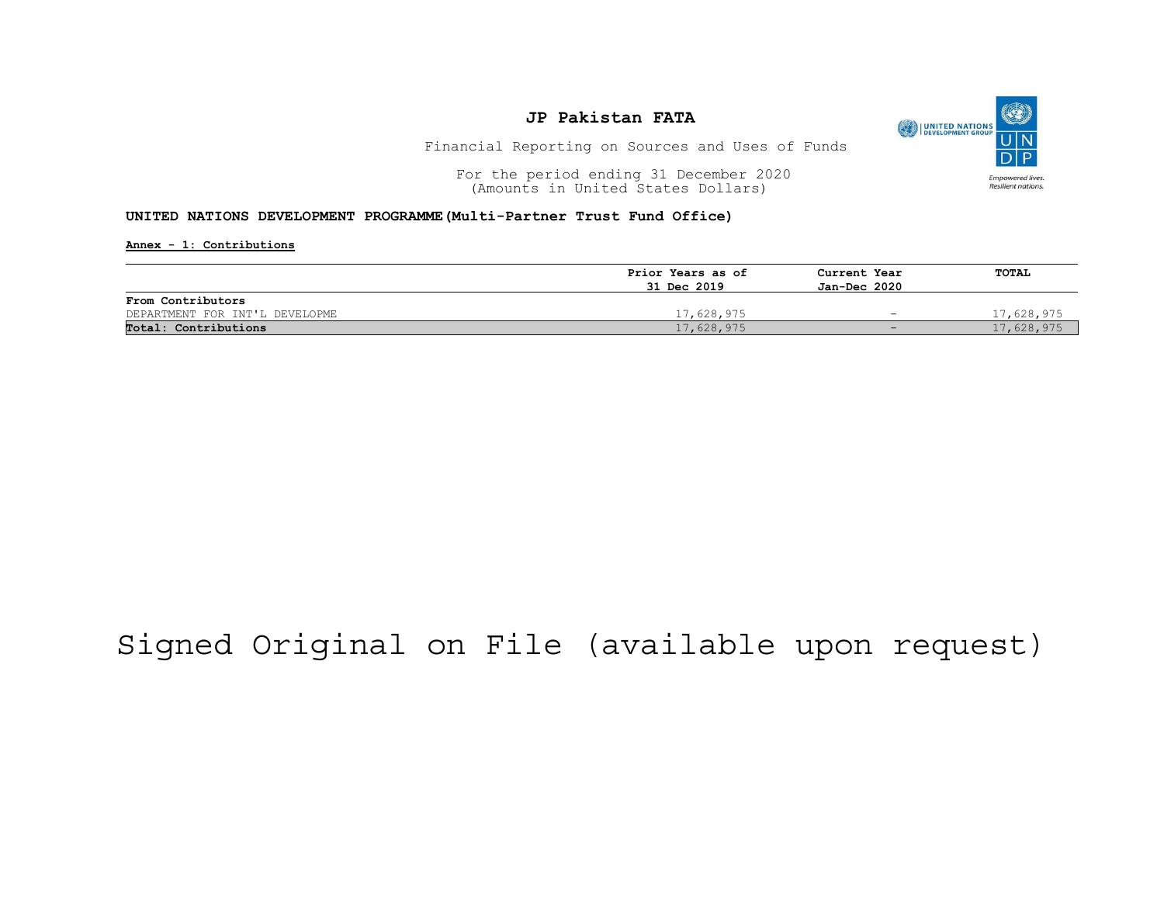

Financial Reporting on Sources and Uses of Funds

For the period ending 31 December 2020<br>
(Amounts in United States Dollars) (amounts in United States Dollars) (Amounts in United States Dollars)

#### UNITED NATIONS DEVELOPMENT PROGRAMME(Multi-Partner Trust Fund Office)

Annex - 1: Contributions

|                                | Prior Years as of | Current Year | TOTAL      |
|--------------------------------|-------------------|--------------|------------|
|                                | 31 Dec 2019       | Jan-Dec 2020 |            |
| From Contributors              |                   |              |            |
| DEPARTMENT FOR INT'L DEVELOPME | 17,628,975        |              | 7,628,975  |
| Total: Contributions           | 17,628,975        |              | 17,628,975 |

## Signed Original on File (available upon request)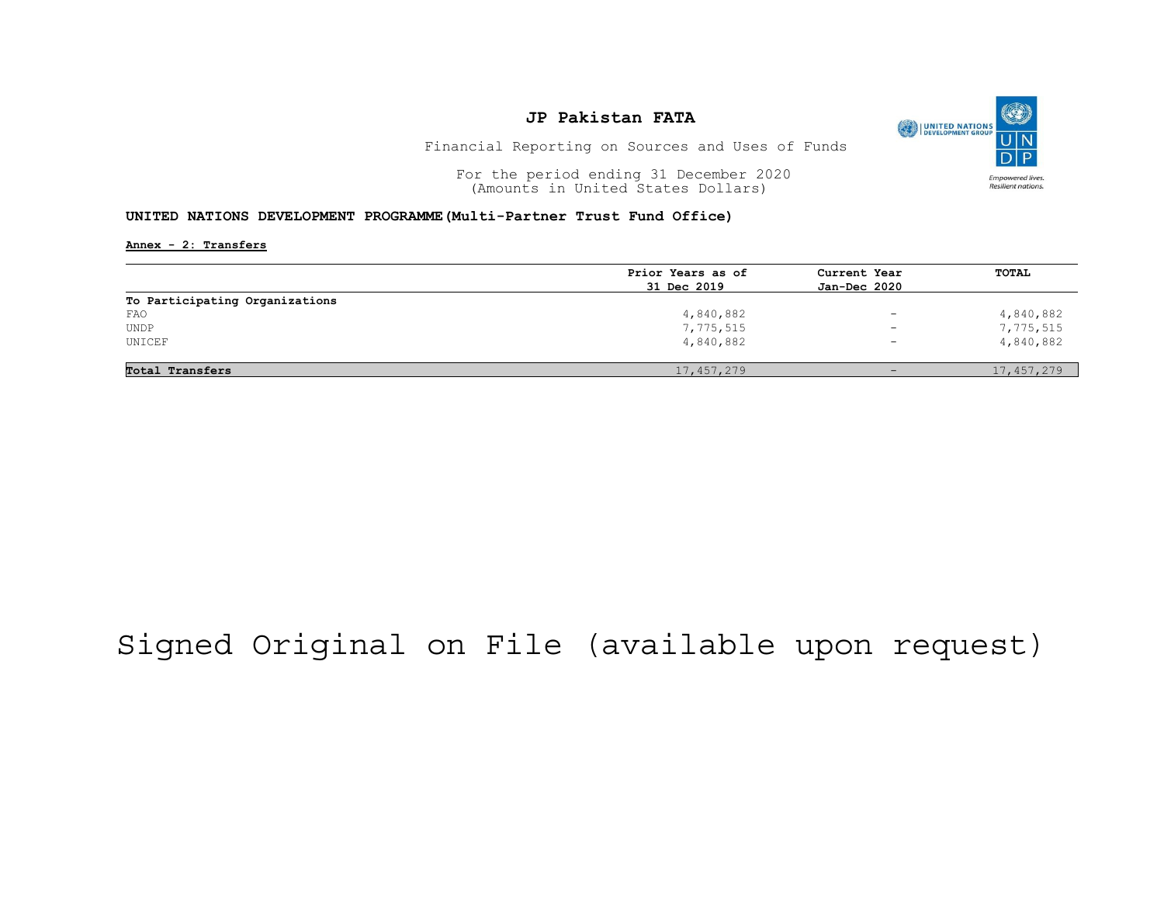

Financial Reporting on Sources and Uses of Funds

For the period ending 31 December 2020<br>
(Amounts in United States Dollars) (amounts in United States Dollars) (Amounts in United States Dollars)

#### UNITED NATIONS DEVELOPMENT PROGRAMME(Multi-Partner Trust Fund Office)

Annex - 2: Transfers

|                                | Prior Years as of | Current Year             | <b>TOTAL</b> |
|--------------------------------|-------------------|--------------------------|--------------|
|                                | 31 Dec 2019       | Jan-Dec 2020             |              |
| To Participating Organizations |                   |                          |              |
| FAO                            | 4,840,882         | $\overline{\phantom{0}}$ | 4,840,882    |
| <b>UNDP</b>                    | 7,775,515         | $\overline{\phantom{a}}$ | 7,775,515    |
| UNICEF                         | 4,840,882         | $\overline{\phantom{0}}$ | 4,840,882    |
| Total Transfers                | 17, 457, 279      |                          | 17,457,279   |

## Signed Original on File (available upon request)